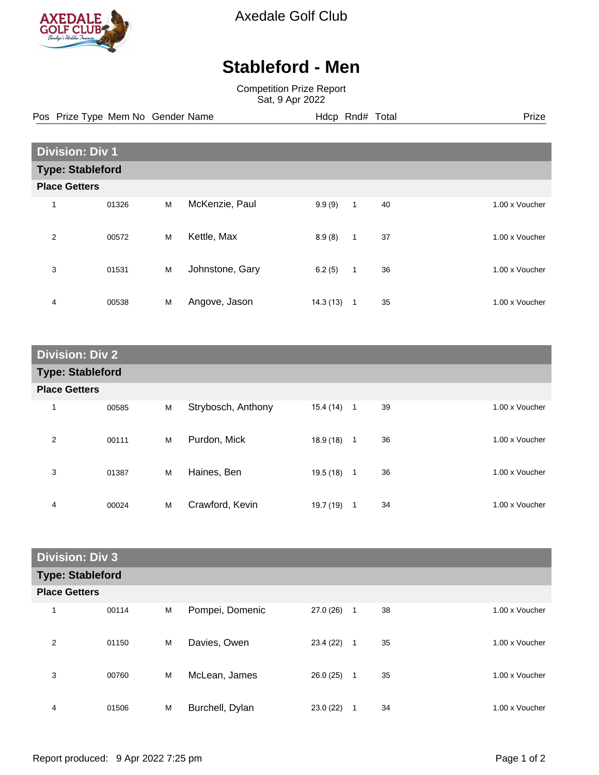

Axedale Golf Club

## **Stableford - Men**

Competition Prize Report Sat, 9 Apr 2022

Pos Prize Type Mem No Gender Name **Hdcp Rnd# Total** Prize Prize

| <b>Division: Div 1</b>  |       |   |                 |          |              |    |                |  |
|-------------------------|-------|---|-----------------|----------|--------------|----|----------------|--|
| <b>Type: Stableford</b> |       |   |                 |          |              |    |                |  |
| <b>Place Getters</b>    |       |   |                 |          |              |    |                |  |
| 1                       | 01326 | M | McKenzie, Paul  | 9.9(9)   | 1            | 40 | 1.00 x Voucher |  |
| $\overline{2}$          | 00572 | M | Kettle, Max     | 8.9(8)   | $\mathbf{1}$ | 37 | 1.00 x Voucher |  |
| 3                       | 01531 | M | Johnstone, Gary | 6.2(5)   | $\mathbf{1}$ | 36 | 1.00 x Voucher |  |
| 4                       | 00538 | M | Angove, Jason   | 14.3(13) | $\mathbf 1$  | 35 | 1.00 x Voucher |  |

| <b>Division: Div 2</b>  |       |   |                    |           |              |    |                |  |
|-------------------------|-------|---|--------------------|-----------|--------------|----|----------------|--|
| <b>Type: Stableford</b> |       |   |                    |           |              |    |                |  |
| <b>Place Getters</b>    |       |   |                    |           |              |    |                |  |
| 1                       | 00585 | M | Strybosch, Anthony | 15.4 (14) | $\mathbf{1}$ | 39 | 1.00 x Voucher |  |
| 2                       | 00111 | M | Purdon, Mick       | 18.9(18)  | $\mathbf{1}$ | 36 | 1.00 x Voucher |  |
| 3                       | 01387 | M | Haines, Ben        | 19.5 (18) | 1            | 36 | 1.00 x Voucher |  |
| 4                       | 00024 | M | Crawford, Kevin    | 19.7 (19) | 1            | 34 | 1.00 x Voucher |  |

| <b>Division: Div 3</b>  |       |   |                 |           |              |    |  |                |
|-------------------------|-------|---|-----------------|-----------|--------------|----|--|----------------|
| <b>Type: Stableford</b> |       |   |                 |           |              |    |  |                |
| <b>Place Getters</b>    |       |   |                 |           |              |    |  |                |
| 1                       | 00114 | M | Pompei, Domenic | 27.0 (26) | $\mathbf{1}$ | 38 |  | 1.00 x Voucher |
| 2                       | 01150 | M | Davies, Owen    | 23.4 (22) | $\mathbf{1}$ | 35 |  | 1.00 x Voucher |
| 3                       | 00760 | M | McLean, James   | 26.0(25)  | $\mathbf{1}$ | 35 |  | 1.00 x Voucher |
| 4                       | 01506 | M | Burchell, Dylan | 23.0(22)  | 1            | 34 |  | 1.00 x Voucher |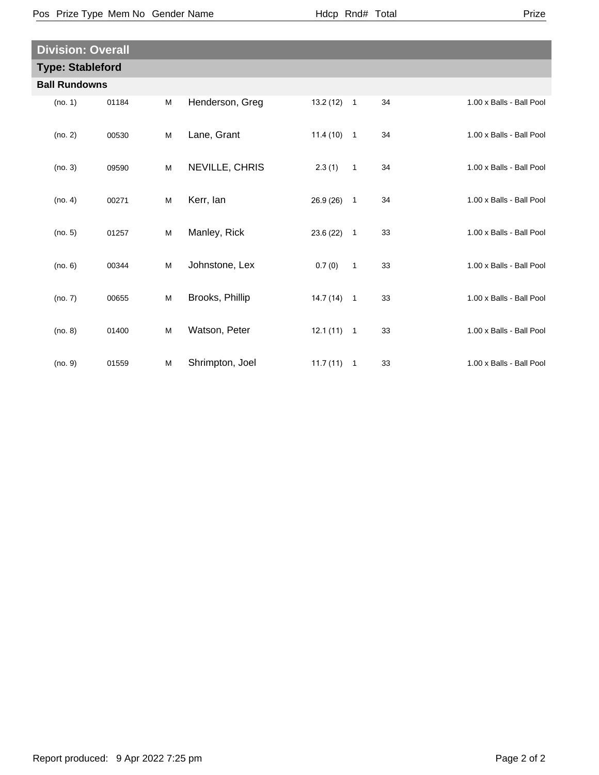| × |
|---|
|---|

| <b>Division: Overall</b> |       |   |                 |              |                |    |                          |  |  |
|--------------------------|-------|---|-----------------|--------------|----------------|----|--------------------------|--|--|
| <b>Type: Stableford</b>  |       |   |                 |              |                |    |                          |  |  |
| <b>Ball Rundowns</b>     |       |   |                 |              |                |    |                          |  |  |
| (no. 1)                  | 01184 | M | Henderson, Greg | $13.2(12)$ 1 |                | 34 | 1.00 x Balls - Ball Pool |  |  |
| (no. 2)                  | 00530 | M | Lane, Grant     | $11.4(10)$ 1 |                | 34 | 1.00 x Balls - Ball Pool |  |  |
| (no. 3)                  | 09590 | M | NEVILLE, CHRIS  | 2.3(1)       | $\mathbf{1}$   | 34 | 1.00 x Balls - Ball Pool |  |  |
| (no. 4)                  | 00271 | M | Kerr, lan       | 26.9 (26)    | $\mathbf{1}$   | 34 | 1.00 x Balls - Ball Pool |  |  |
| (no. 5)                  | 01257 | M | Manley, Rick    | 23.6(22)     | $\overline{1}$ | 33 | 1.00 x Balls - Ball Pool |  |  |
| (no. 6)                  | 00344 | M | Johnstone, Lex  | 0.7(0)       | $\mathbf{1}$   | 33 | 1.00 x Balls - Ball Pool |  |  |
| (no. 7)                  | 00655 | M | Brooks, Phillip | $14.7(14)$ 1 |                | 33 | 1.00 x Balls - Ball Pool |  |  |
| (no. 8)                  | 01400 | M | Watson, Peter   | $12.1(11)$ 1 |                | 33 | 1.00 x Balls - Ball Pool |  |  |
| (no. 9)                  | 01559 | M | Shrimpton, Joel | $11.7(11)$ 1 |                | 33 | 1.00 x Balls - Ball Pool |  |  |